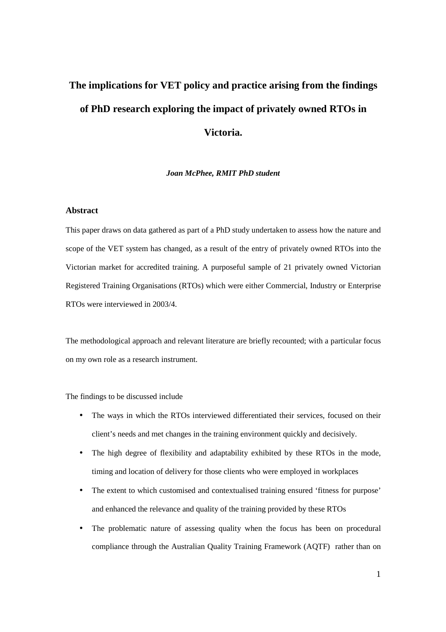# **The implications for VET policy and practice arising from the findings of PhD research exploring the impact of privately owned RTOs in Victoria.**

#### *Joan McPhee, RMIT PhD student*

## **Abstract**

This paper draws on data gathered as part of a PhD study undertaken to assess how the nature and scope of the VET system has changed, as a result of the entry of privately owned RTOs into the Victorian market for accredited training. A purposeful sample of 21 privately owned Victorian Registered Training Organisations (RTOs) which were either Commercial, Industry or Enterprise RTOs were interviewed in 2003/4.

The methodological approach and relevant literature are briefly recounted; with a particular focus on my own role as a research instrument.

The findings to be discussed include

- The ways in which the RTOs interviewed differentiated their services, focused on their client's needs and met changes in the training environment quickly and decisively.
- The high degree of flexibility and adaptability exhibited by these RTOs in the mode, timing and location of delivery for those clients who were employed in workplaces
- The extent to which customised and contextualised training ensured 'fitness for purpose' and enhanced the relevance and quality of the training provided by these RTOs
- The problematic nature of assessing quality when the focus has been on procedural compliance through the Australian Quality Training Framework (AQTF) rather than on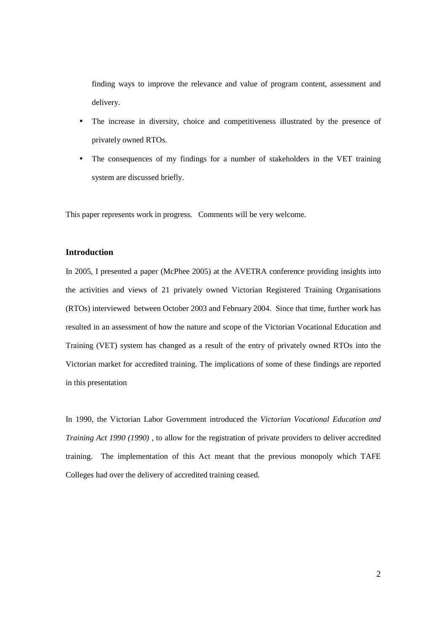finding ways to improve the relevance and value of program content, assessment and delivery.

- The increase in diversity, choice and competitiveness illustrated by the presence of privately owned RTOs.
- The consequences of my findings for a number of stakeholders in the VET training system are discussed briefly.

This paper represents work in progress. Comments will be very welcome.

## **Introduction**

In 2005, I presented a paper (McPhee 2005) at the AVETRA conference providing insights into the activities and views of 21 privately owned Victorian Registered Training Organisations (RTOs) interviewed between October 2003 and February 2004. Since that time, further work has resulted in an assessment of how the nature and scope of the Victorian Vocational Education and Training (VET) system has changed as a result of the entry of privately owned RTOs into the Victorian market for accredited training. The implications of some of these findings are reported in this presentation

In 1990, the Victorian Labor Government introduced the *Victorian Vocational Education and Training Act 1990 (1990) ,* to allow for the registration of private providers to deliver accredited training. The implementation of this Act meant that the previous monopoly which TAFE Colleges had over the delivery of accredited training ceased.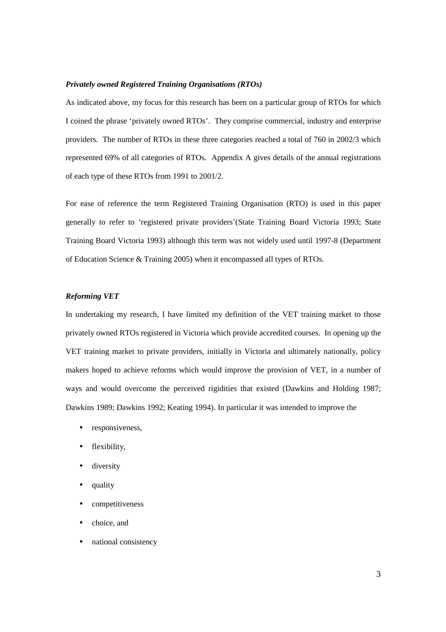#### *Privately owned Registered Training Organisations (RTOs)*

As indicated above, my focus for this research has been on a particular group of RTOs for which I coined the phrase 'privately owned RTOs'. They comprise commercial, industry and enterprise providers. The number of RTOs in these three categories reached a total of 760 in 2002/3 which represented 69% of all categories of RTOs. Appendix A gives details of the annual registrations of each type of these RTOs from 1991 to 2001/2.

For ease of reference the term Registered Training Organisation (RTO) is used in this paper generally to refer to 'registered private providers'(State Training Board Victoria 1993; State Training Board Victoria 1993) although this term was not widely used until 1997-8 (Department of Education Science & Training 2005) when it encompassed all types of RTOs.

# *Reforming VET*

In undertaking my research, I have limited my definition of the VET training market to those privately owned RTOs registered in Victoria which provide accredited courses. In opening up the VET training market to private providers, initially in Victoria and ultimately nationally, policy makers hoped to achieve reforms which would improve the provision of VET, in a number of ways and would overcome the perceived rigidities that existed (Dawkins and Holding 1987; Dawkins 1989; Dawkins 1992; Keating 1994). In particular it was intended to improve the

- responsiveness,
- flexibility,
- diversity
- quality
- competitiveness
- choice, and
- national consistency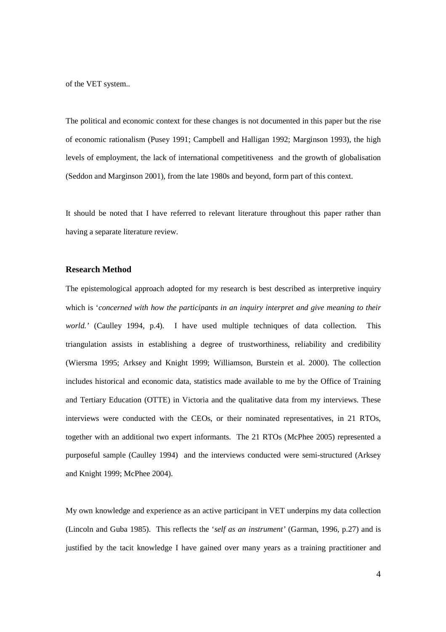of the VET system..

The political and economic context for these changes is not documented in this paper but the rise of economic rationalism (Pusey 1991; Campbell and Halligan 1992; Marginson 1993), the high levels of employment, the lack of international competitiveness and the growth of globalisation (Seddon and Marginson 2001), from the late 1980s and beyond, form part of this context.

It should be noted that I have referred to relevant literature throughout this paper rather than having a separate literature review.

#### **Research Method**

The epistemological approach adopted for my research is best described as interpretive inquiry which is '*concerned with how the participants in an inquiry interpret and give meaning to their world.'* (Caulley 1994, p.4)*.* I have used multiple techniques of data collection. This triangulation assists in establishing a degree of trustworthiness, reliability and credibility (Wiersma 1995; Arksey and Knight 1999; Williamson, Burstein et al. 2000). The collection includes historical and economic data, statistics made available to me by the Office of Training and Tertiary Education (OTTE) in Victoria and the qualitative data from my interviews. These interviews were conducted with the CEOs, or their nominated representatives, in 21 RTOs, together with an additional two expert informants. The 21 RTOs (McPhee 2005) represented a purposeful sample (Caulley 1994) and the interviews conducted were semi-structured (Arksey and Knight 1999; McPhee 2004).

My own knowledge and experience as an active participant in VET underpins my data collection (Lincoln and Guba 1985). This reflects the '*self as an instrument'* (Garman, 1996, p.27) and is justified by the tacit knowledge I have gained over many years as a training practitioner and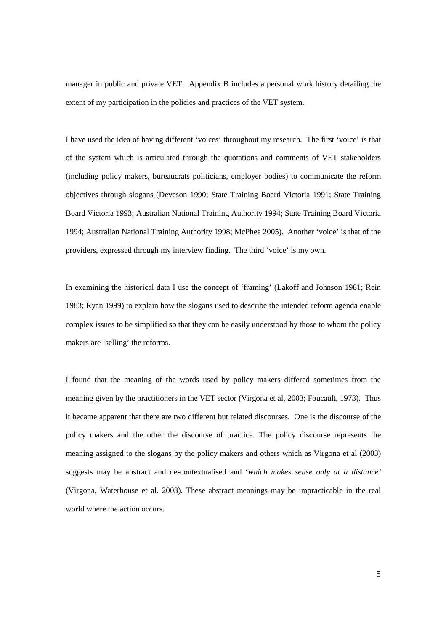manager in public and private VET. Appendix B includes a personal work history detailing the extent of my participation in the policies and practices of the VET system.

I have used the idea of having different 'voices' throughout my research. The first 'voice' is that of the system which is articulated through the quotations and comments of VET stakeholders (including policy makers, bureaucrats politicians, employer bodies) to communicate the reform objectives through slogans (Deveson 1990; State Training Board Victoria 1991; State Training Board Victoria 1993; Australian National Training Authority 1994; State Training Board Victoria 1994; Australian National Training Authority 1998; McPhee 2005). Another 'voice' is that of the providers, expressed through my interview finding. The third 'voice' is my own.

In examining the historical data I use the concept of 'framing' (Lakoff and Johnson 1981; Rein 1983; Ryan 1999) to explain how the slogans used to describe the intended reform agenda enable complex issues to be simplified so that they can be easily understood by those to whom the policy makers are 'selling' the reforms.

I found that the meaning of the words used by policy makers differed sometimes from the meaning given by the practitioners in the VET sector (Virgona et al, 2003; Foucault, 1973). Thus it became apparent that there are two different but related discourses. One is the discourse of the policy makers and the other the discourse of practice. The policy discourse represents the meaning assigned to the slogans by the policy makers and others which as Virgona et al (2003) suggests may be abstract and de-contextualised and '*which makes sense only at a distance'* (Virgona, Waterhouse et al. 2003). These abstract meanings may be impracticable in the real world where the action occurs.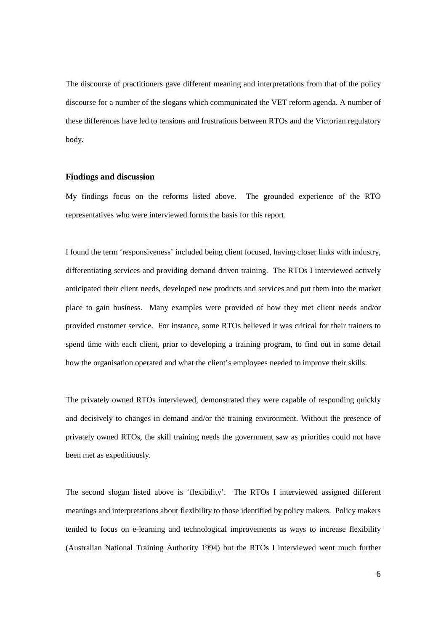The discourse of practitioners gave different meaning and interpretations from that of the policy discourse for a number of the slogans which communicated the VET reform agenda. A number of these differences have led to tensions and frustrations between RTOs and the Victorian regulatory body.

### **Findings and discussion**

My findings focus on the reforms listed above. The grounded experience of the RTO representatives who were interviewed forms the basis for this report.

I found the term 'responsiveness' included being client focused, having closer links with industry, differentiating services and providing demand driven training. The RTOs I interviewed actively anticipated their client needs, developed new products and services and put them into the market place to gain business. Many examples were provided of how they met client needs and/or provided customer service. For instance, some RTOs believed it was critical for their trainers to spend time with each client, prior to developing a training program, to find out in some detail how the organisation operated and what the client's employees needed to improve their skills.

The privately owned RTOs interviewed, demonstrated they were capable of responding quickly and decisively to changes in demand and/or the training environment. Without the presence of privately owned RTOs, the skill training needs the government saw as priorities could not have been met as expeditiously.

The second slogan listed above is 'flexibility'. The RTOs I interviewed assigned different meanings and interpretations about flexibility to those identified by policy makers. Policy makers tended to focus on e-learning and technological improvements as ways to increase flexibility (Australian National Training Authority 1994) but the RTOs I interviewed went much further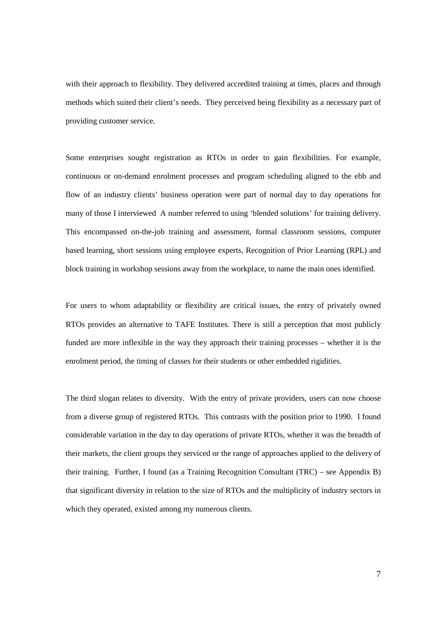with their approach to flexibility. They delivered accredited training at times, places and through methods which suited their client's needs. They perceived being flexibility as a necessary part of providing customer service.

Some enterprises sought registration as RTOs in order to gain flexibilities. For example, continuous or on-demand enrolment processes and program scheduling aligned to the ebb and flow of an industry clients' business operation were part of normal day to day operations for many of those I interviewed A number referred to using 'blended solutions' for training delivery. This encompassed on-the-job training and assessment, formal classroom sessions, computer based learning, short sessions using employee experts, Recognition of Prior Learning (RPL) and block training in workshop sessions away from the workplace, to name the main ones identified.

For users to whom adaptability or flexibility are critical issues, the entry of privately owned RTOs provides an alternative to TAFE Institutes. There is still a perception that most publicly funded are more inflexible in the way they approach their training processes – whether it is the enrolment period, the timing of classes for their students or other embedded rigidities.

The third slogan relates to diversity. With the entry of private providers, users can now choose from a diverse group of registered RTOs. This contrasts with the position prior to 1990. I found considerable variation in the day to day operations of private RTOs, whether it was the breadth of their markets, the client groups they serviced or the range of approaches applied to the delivery of their training. Further, I found (as a Training Recognition Consultant (TRC) – see Appendix B) that significant diversity in relation to the size of RTOs and the multiplicity of industry sectors in which they operated, existed among my numerous clients.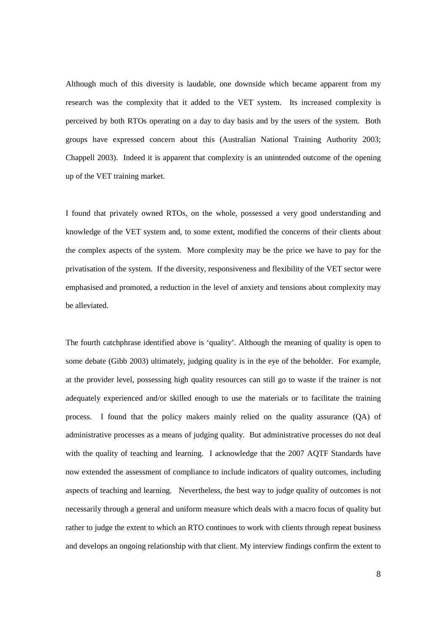Although much of this diversity is laudable, one downside which became apparent from my research was the complexity that it added to the VET system. Its increased complexity is perceived by both RTOs operating on a day to day basis and by the users of the system. Both groups have expressed concern about this (Australian National Training Authority 2003; Chappell 2003). Indeed it is apparent that complexity is an unintended outcome of the opening up of the VET training market.

I found that privately owned RTOs, on the whole, possessed a very good understanding and knowledge of the VET system and, to some extent, modified the concerns of their clients about the complex aspects of the system. More complexity may be the price we have to pay for the privatisation of the system. If the diversity, responsiveness and flexibility of the VET sector were emphasised and promoted, a reduction in the level of anxiety and tensions about complexity may be alleviated.

The fourth catchphrase identified above is 'quality'. Although the meaning of quality is open to some debate (Gibb 2003) ultimately, judging quality is in the eye of the beholder. For example, at the provider level, possessing high quality resources can still go to waste if the trainer is not adequately experienced and/or skilled enough to use the materials or to facilitate the training process. I found that the policy makers mainly relied on the quality assurance (QA) of administrative processes as a means of judging quality. But administrative processes do not deal with the quality of teaching and learning. I acknowledge that the 2007 AQTF Standards have now extended the assessment of compliance to include indicators of quality outcomes, including aspects of teaching and learning. Nevertheless, the best way to judge quality of outcomes is not necessarily through a general and uniform measure which deals with a macro focus of quality but rather to judge the extent to which an RTO continues to work with clients through repeat business and develops an ongoing relationship with that client. My interview findings confirm the extent to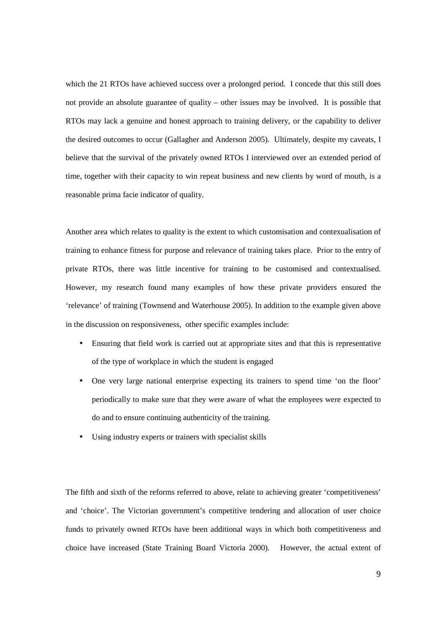which the 21 RTOs have achieved success over a prolonged period. I concede that this still does not provide an absolute guarantee of quality – other issues may be involved. It is possible that RTOs may lack a genuine and honest approach to training delivery, or the capability to deliver the desired outcomes to occur (Gallagher and Anderson 2005). Ultimately, despite my caveats, I believe that the survival of the privately owned RTOs I interviewed over an extended period of time, together with their capacity to win repeat business and new clients by word of mouth, is a reasonable prima facie indicator of quality.

Another area which relates to quality is the extent to which customisation and contexualisation of training to enhance fitness for purpose and relevance of training takes place. Prior to the entry of private RTOs, there was little incentive for training to be customised and contextualised. However, my research found many examples of how these private providers ensured the 'relevance' of training (Townsend and Waterhouse 2005). In addition to the example given above in the discussion on responsiveness, other specific examples include:

- Ensuring that field work is carried out at appropriate sites and that this is representative of the type of workplace in which the student is engaged
- One very large national enterprise expecting its trainers to spend time 'on the floor' periodically to make sure that they were aware of what the employees were expected to do and to ensure continuing authenticity of the training.
- Using industry experts or trainers with specialist skills

The fifth and sixth of the reforms referred to above, relate to achieving greater 'competitiveness' and 'choice'. The Victorian government's competitive tendering and allocation of user choice funds to privately owned RTOs have been additional ways in which both competitiveness and choice have increased (State Training Board Victoria 2000). However, the actual extent of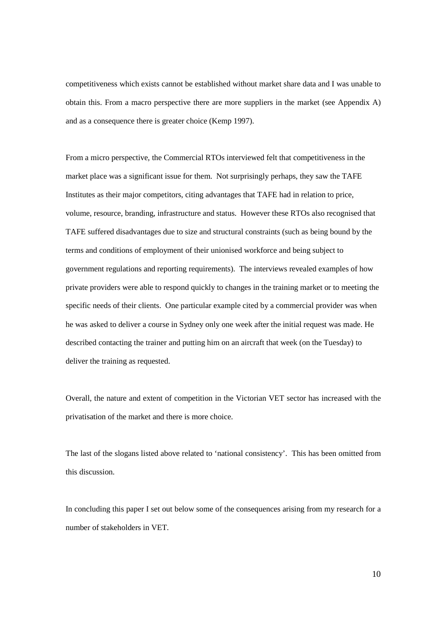competitiveness which exists cannot be established without market share data and I was unable to obtain this. From a macro perspective there are more suppliers in the market (see Appendix A) and as a consequence there is greater choice (Kemp 1997).

From a micro perspective, the Commercial RTOs interviewed felt that competitiveness in the market place was a significant issue for them. Not surprisingly perhaps, they saw the TAFE Institutes as their major competitors, citing advantages that TAFE had in relation to price, volume, resource, branding, infrastructure and status. However these RTOs also recognised that TAFE suffered disadvantages due to size and structural constraints (such as being bound by the terms and conditions of employment of their unionised workforce and being subject to government regulations and reporting requirements). The interviews revealed examples of how private providers were able to respond quickly to changes in the training market or to meeting the specific needs of their clients. One particular example cited by a commercial provider was when he was asked to deliver a course in Sydney only one week after the initial request was made. He described contacting the trainer and putting him on an aircraft that week (on the Tuesday) to deliver the training as requested.

Overall, the nature and extent of competition in the Victorian VET sector has increased with the privatisation of the market and there is more choice.

The last of the slogans listed above related to 'national consistency'. This has been omitted from this discussion.

In concluding this paper I set out below some of the consequences arising from my research for a number of stakeholders in VET.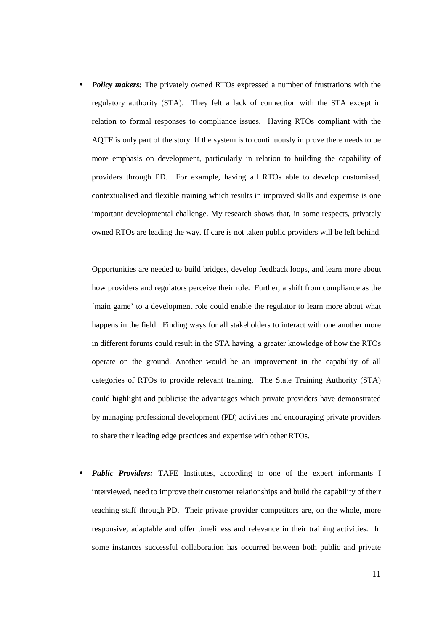• *Policy makers:* The privately owned RTOs expressed a number of frustrations with the regulatory authority (STA). They felt a lack of connection with the STA except in relation to formal responses to compliance issues. Having RTOs compliant with the AQTF is only part of the story. If the system is to continuously improve there needs to be more emphasis on development, particularly in relation to building the capability of providers through PD. For example, having all RTOs able to develop customised, contextualised and flexible training which results in improved skills and expertise is one important developmental challenge. My research shows that, in some respects, privately owned RTOs are leading the way. If care is not taken public providers will be left behind.

Opportunities are needed to build bridges, develop feedback loops, and learn more about how providers and regulators perceive their role. Further, a shift from compliance as the 'main game' to a development role could enable the regulator to learn more about what happens in the field. Finding ways for all stakeholders to interact with one another more in different forums could result in the STA having a greater knowledge of how the RTOs operate on the ground. Another would be an improvement in the capability of all categories of RTOs to provide relevant training. The State Training Authority (STA) could highlight and publicise the advantages which private providers have demonstrated by managing professional development (PD) activities and encouraging private providers to share their leading edge practices and expertise with other RTOs.

• *Public Providers:* TAFE Institutes, according to one of the expert informants I interviewed, need to improve their customer relationships and build the capability of their teaching staff through PD. Their private provider competitors are, on the whole, more responsive, adaptable and offer timeliness and relevance in their training activities. In some instances successful collaboration has occurred between both public and private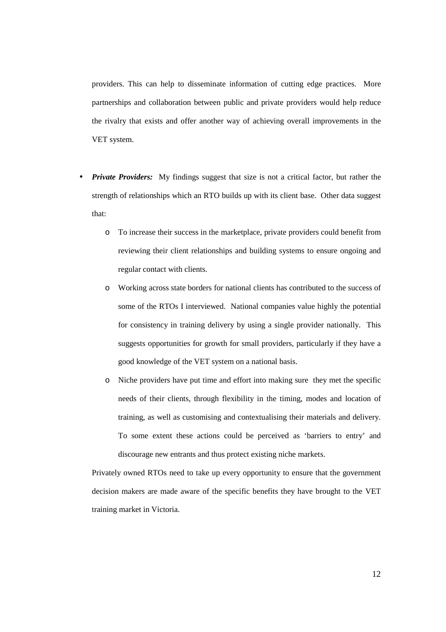providers. This can help to disseminate information of cutting edge practices. More partnerships and collaboration between public and private providers would help reduce the rivalry that exists and offer another way of achieving overall improvements in the VET system.

- *Private Providers:* My findings suggest that size is not a critical factor, but rather the strength of relationships which an RTO builds up with its client base. Other data suggest that:
	- o To increase their success in the marketplace, private providers could benefit from reviewing their client relationships and building systems to ensure ongoing and regular contact with clients.
	- o Working across state borders for national clients has contributed to the success of some of the RTOs I interviewed. National companies value highly the potential for consistency in training delivery by using a single provider nationally. This suggests opportunities for growth for small providers, particularly if they have a good knowledge of the VET system on a national basis.
	- o Niche providers have put time and effort into making sure they met the specific needs of their clients, through flexibility in the timing, modes and location of training, as well as customising and contextualising their materials and delivery. To some extent these actions could be perceived as 'barriers to entry' and discourage new entrants and thus protect existing niche markets.

Privately owned RTOs need to take up every opportunity to ensure that the government decision makers are made aware of the specific benefits they have brought to the VET training market in Victoria.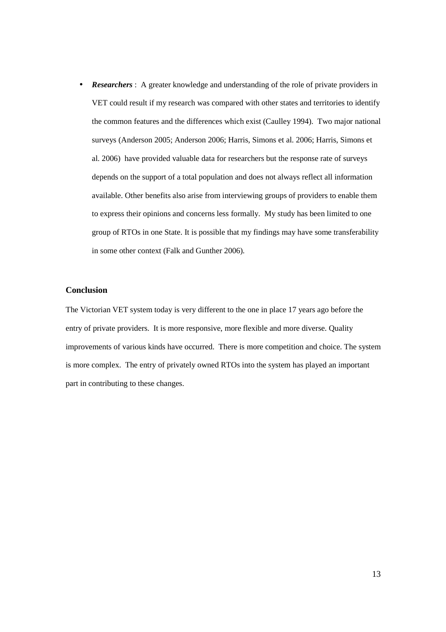• *Researchers*: A greater knowledge and understanding of the role of private providers in VET could result if my research was compared with other states and territories to identify the common features and the differences which exist (Caulley 1994). Two major national surveys (Anderson 2005; Anderson 2006; Harris, Simons et al. 2006; Harris, Simons et al. 2006) have provided valuable data for researchers but the response rate of surveys depends on the support of a total population and does not always reflect all information available. Other benefits also arise from interviewing groups of providers to enable them to express their opinions and concerns less formally. My study has been limited to one group of RTOs in one State. It is possible that my findings may have some transferability in some other context (Falk and Gunther 2006).

# **Conclusion**

The Victorian VET system today is very different to the one in place 17 years ago before the entry of private providers. It is more responsive, more flexible and more diverse. Quality improvements of various kinds have occurred. There is more competition and choice. The system is more complex. The entry of privately owned RTOs into the system has played an important part in contributing to these changes.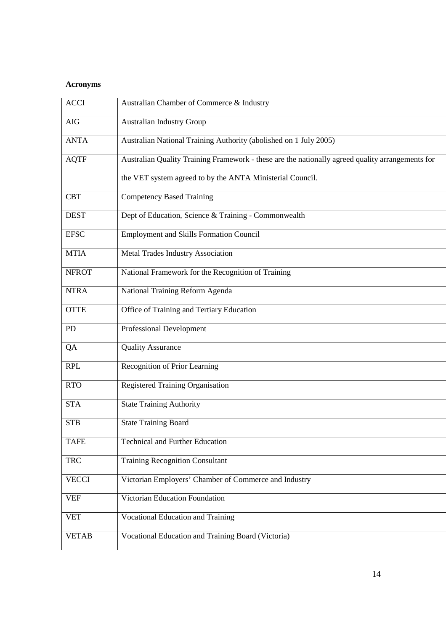# **Acronyms**

| <b>ACCI</b>  | Australian Chamber of Commerce & Industry                                                        |
|--------------|--------------------------------------------------------------------------------------------------|
| <b>AIG</b>   | <b>Australian Industry Group</b>                                                                 |
| <b>ANTA</b>  | Australian National Training Authority (abolished on 1 July 2005)                                |
| <b>AQTF</b>  | Australian Quality Training Framework - these are the nationally agreed quality arrangements for |
|              | the VET system agreed to by the ANTA Ministerial Council.                                        |
| <b>CBT</b>   | <b>Competency Based Training</b>                                                                 |
| <b>DEST</b>  | Dept of Education, Science & Training - Commonwealth                                             |
| <b>EFSC</b>  | <b>Employment and Skills Formation Council</b>                                                   |
| <b>MTIA</b>  | Metal Trades Industry Association                                                                |
| <b>NFROT</b> | National Framework for the Recognition of Training                                               |
| <b>NTRA</b>  | National Training Reform Agenda                                                                  |
| <b>OTTE</b>  | Office of Training and Tertiary Education                                                        |
| PD           | <b>Professional Development</b>                                                                  |
| QA           | <b>Quality Assurance</b>                                                                         |
| <b>RPL</b>   | Recognition of Prior Learning                                                                    |
| <b>RTO</b>   | <b>Registered Training Organisation</b>                                                          |
| <b>STA</b>   | <b>State Training Authority</b>                                                                  |
| <b>STB</b>   | <b>State Training Board</b>                                                                      |
| <b>TAFE</b>  | <b>Technical and Further Education</b>                                                           |
| <b>TRC</b>   | <b>Training Recognition Consultant</b>                                                           |
| <b>VECCI</b> | Victorian Employers' Chamber of Commerce and Industry                                            |
| <b>VEF</b>   | Victorian Education Foundation                                                                   |
| <b>VET</b>   | Vocational Education and Training                                                                |
| <b>VETAB</b> | Vocational Education and Training Board (Victoria)                                               |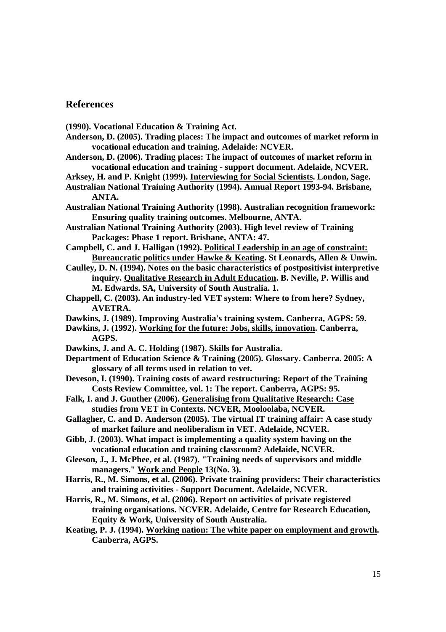# **References**

**(1990). Vocational Education & Training Act.** 

- **Anderson, D. (2005). Trading places: The impact and outcomes of market reform in vocational education and training. Adelaide: NCVER.**
- **Anderson, D. (2006). Trading places: The impact of outcomes of market reform in vocational education and training - support document. Adelaide, NCVER.**
- **Arksey, H. and P. Knight (1999). Interviewing for Social Scientists. London, Sage. Australian National Training Authority (1994). Annual Report 1993-94. Brisbane,**
- **ANTA.**
- **Australian National Training Authority (1998). Australian recognition framework: Ensuring quality training outcomes. Melbourne, ANTA.**
- **Australian National Training Authority (2003). High level review of Training Packages: Phase 1 report. Brisbane, ANTA: 47.**
- **Campbell, C. and J. Halligan (1992). Political Leadership in an age of constraint: Bureaucratic politics under Hawke & Keating. St Leonards, Allen & Unwin.**
- **Caulley, D. N. (1994). Notes on the basic characteristics of postpositivist interpretive inquiry. Qualitative Research in Adult Education. B. Neville, P. Willis and M. Edwards. SA, University of South Australia. 1.**
- **Chappell, C. (2003). An industry-led VET system: Where to from here? Sydney, AVETRA.**
- **Dawkins, J. (1989). Improving Australia's training system. Canberra, AGPS: 59.**
- **Dawkins, J. (1992). Working for the future: Jobs, skills, innovation. Canberra, AGPS.**
- **Dawkins, J. and A. C. Holding (1987). Skills for Australia.**
- **Department of Education Science & Training (2005). Glossary. Canberra. 2005: A glossary of all terms used in relation to vet.**
- **Deveson, I. (1990). Training costs of award restructuring: Report of the Training Costs Review Committee, vol. 1: The report. Canberra, AGPS: 95.**
- **Falk, I. and J. Gunther (2006). Generalising from Qualitative Research: Case studies from VET in Contexts. NCVER, Mooloolaba, NCVER.**
- **Gallagher, C. and D. Anderson (2005). The virtual IT training affair: A case study of market failure and neoliberalism in VET. Adelaide, NCVER.**
- **Gibb, J. (2003). What impact is implementing a quality system having on the vocational education and training classroom? Adelaide, NCVER.**
- **Gleeson, J., J. McPhee, et al. (1987). "Training needs of supervisors and middle managers." Work and People 13(No. 3).**
- **Harris, R., M. Simons, et al. (2006). Private training providers: Their characteristics and training activities - Support Document. Adelaide, NCVER.**
- **Harris, R., M. Simons, et al. (2006). Report on activities of private registered training organisations. NCVER. Adelaide, Centre for Research Education, Equity & Work, University of South Australia.**
- **Keating, P. J. (1994). Working nation: The white paper on employment and growth. Canberra, AGPS.**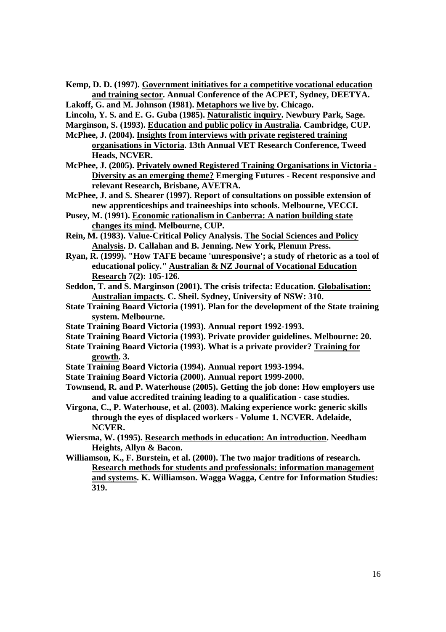**Kemp, D. D. (1997). Government initiatives for a competitive vocational education and training sector. Annual Conference of the ACPET, Sydney, DEETYA.** 

**Lakoff, G. and M. Johnson (1981). Metaphors we live by. Chicago.** 

**Lincoln, Y. S. and E. G. Guba (1985). Naturalistic inquiry. Newbury Park, Sage.** 

**Marginson, S. (1993). Education and public policy in Australia. Cambridge, CUP.** 

- **McPhee, J. (2004). Insights from interviews with private registered training organisations in Victoria. 13th Annual VET Research Conference, Tweed Heads, NCVER.**
- **McPhee, J. (2005). Privately owned Registered Training Organisations in Victoria - Diversity as an emerging theme? Emerging Futures - Recent responsive and relevant Research, Brisbane, AVETRA.**
- **McPhee, J. and S. Shearer (1997). Report of consultations on possible extension of new apprenticeships and traineeships into schools. Melbourne, VECCI.**
- **Pusey, M. (1991). Economic rationalism in Canberra: A nation building state changes its mind. Melbourne, CUP.**
- **Rein, M. (1983). Value-Critical Policy Analysis. The Social Sciences and Policy Analysis. D. Callahan and B. Jenning. New York, Plenum Press.**
- **Ryan, R. (1999). "How TAFE became 'unresponsive'; a study of rhetoric as a tool of educational policy." Australian & NZ Journal of Vocational Education Research 7(2): 105-126.**
- **Seddon, T. and S. Marginson (2001). The crisis trifecta: Education. Globalisation: Australian impacts. C. Sheil. Sydney, University of NSW: 310.**
- **State Training Board Victoria (1991). Plan for the development of the State training system. Melbourne.**
- **State Training Board Victoria (1993). Annual report 1992-1993.**
- **State Training Board Victoria (1993). Private provider guidelines. Melbourne: 20.**
- **State Training Board Victoria (1993). What is a private provider? Training for growth. 3.**
- **State Training Board Victoria (1994). Annual report 1993-1994.**
- **State Training Board Victoria (2000). Annual report 1999-2000.**
- **Townsend, R. and P. Waterhouse (2005). Getting the job done: How employers use and value accredited training leading to a qualification - case studies.**
- **Virgona, C., P. Waterhouse, et al. (2003). Making experience work: generic skills through the eyes of displaced workers - Volume 1. NCVER. Adelaide, NCVER.**
- **Wiersma, W. (1995). Research methods in education: An introduction. Needham Heights, Allyn & Bacon.**

**Williamson, K., F. Burstein, et al. (2000). The two major traditions of research. Research methods for students and professionals: information management and systems. K. Williamson. Wagga Wagga, Centre for Information Studies: 319.**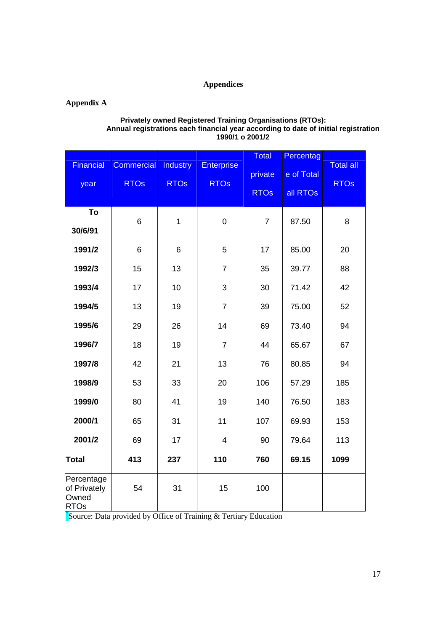# **Appendices**

# **Appendix A**

#### **Privately owned Registered Training Organisations (RTOs): Annual registrations each financial year according to date of initial registration 1990/1 o 2001/2**

| <b>Financial</b><br>year                           | Commercial<br><b>RTOs</b>                                              | <b>Industry</b><br><b>RTOs</b> | <b>Enterprise</b><br><b>RTOs</b> | <b>Total</b><br>private<br><b>RTOs</b> | Percentag<br>e of Total<br>all RTOs | <b>Total all</b><br><b>RTOs</b> |
|----------------------------------------------------|------------------------------------------------------------------------|--------------------------------|----------------------------------|----------------------------------------|-------------------------------------|---------------------------------|
| To<br>30/6/91                                      | 6                                                                      | $\mathbf{1}$                   | 0                                | $\overline{7}$                         | 87.50                               | 8                               |
| 1991/2                                             | 6                                                                      | 6                              | 5                                | 17                                     | 85.00                               | 20                              |
| 1992/3                                             | 15                                                                     | 13                             | $\overline{7}$                   | 35                                     | 39.77                               | 88                              |
| 1993/4                                             | 17                                                                     | 10                             | 3                                | 30                                     | 71.42                               | 42                              |
| 1994/5                                             | 13                                                                     | 19                             | $\overline{7}$                   | 39                                     | 75.00                               | 52                              |
| 1995/6                                             | 29                                                                     | 26                             | 14                               | 69                                     | 73.40                               | 94                              |
| 1996/7                                             | 18                                                                     | 19                             | $\overline{7}$                   | 44                                     | 65.67                               | 67                              |
| 1997/8                                             | 42                                                                     | 21                             | 13                               | 76                                     | 80.85                               | 94                              |
| 1998/9                                             | 53                                                                     | 33                             | 20                               | 106                                    | 57.29                               | 185                             |
| 1999/0                                             | 80                                                                     | 41                             | 19                               | 140                                    | 76.50                               | 183                             |
| 2000/1                                             | 65                                                                     | 31                             | 11                               | 107                                    | 69.93                               | 153                             |
| 2001/2                                             | 69                                                                     | 17                             | 4                                | 90                                     | 79.64                               | 113                             |
| <b>Total</b>                                       | 413                                                                    | 237                            | 110                              | 760                                    | 69.15                               | 1099                            |
| Percentage<br>of Privately<br>Owned<br><b>RTOs</b> | 54<br>Source: Data provided by Office of Training & Tertiary Education | 31                             | 15                               | 100                                    |                                     |                                 |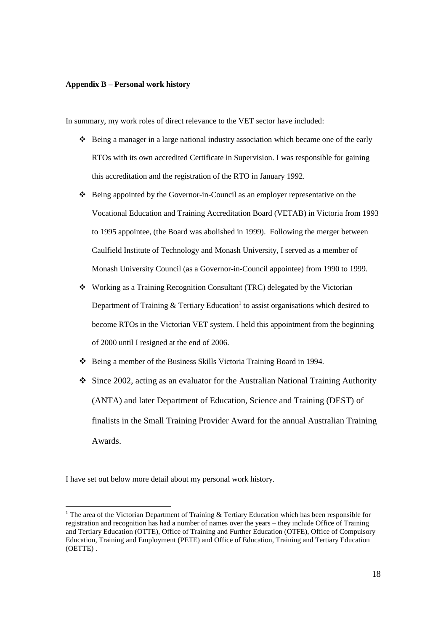#### **Appendix B – Personal work history**

In summary, my work roles of direct relevance to the VET sector have included:

- $\bullet$  Being a manager in a large national industry association which became one of the early RTOs with its own accredited Certificate in Supervision. I was responsible for gaining this accreditation and the registration of the RTO in January 1992.
- $\div$  Being appointed by the Governor-in-Council as an employer representative on the Vocational Education and Training Accreditation Board (VETAB) in Victoria from 1993 to 1995 appointee, (the Board was abolished in 1999). Following the merger between Caulfield Institute of Technology and Monash University, I served as a member of Monash University Council (as a Governor-in-Council appointee) from 1990 to 1999.
- Working as a Training Recognition Consultant (TRC) delegated by the Victorian Department of Training & Tertiary Education<sup>1</sup> to assist organisations which desired to become RTOs in the Victorian VET system. I held this appointment from the beginning of 2000 until I resigned at the end of 2006.
- Being a member of the Business Skills Victoria Training Board in 1994.
- Since 2002, acting as an evaluator for the Australian National Training Authority (ANTA) and later Department of Education, Science and Training (DEST) of finalists in the Small Training Provider Award for the annual Australian Training Awards.

I have set out below more detail about my personal work history.

-

<sup>&</sup>lt;sup>1</sup> The area of the Victorian Department of Training  $\&$  Tertiary Education which has been responsible for registration and recognition has had a number of names over the years – they include Office of Training and Tertiary Education (OTTE), Office of Training and Further Education (OTFE), Office of Compulsory Education, Training and Employment (PETE) and Office of Education, Training and Tertiary Education (OETTE) .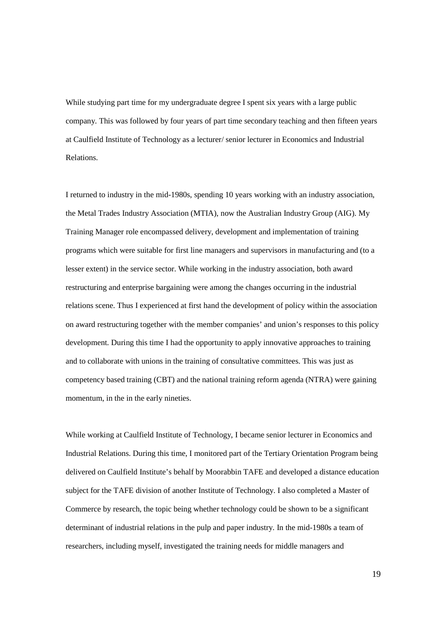While studying part time for my undergraduate degree I spent six years with a large public company. This was followed by four years of part time secondary teaching and then fifteen years at Caulfield Institute of Technology as a lecturer/ senior lecturer in Economics and Industrial Relations.

I returned to industry in the mid-1980s, spending 10 years working with an industry association, the Metal Trades Industry Association (MTIA), now the Australian Industry Group (AIG). My Training Manager role encompassed delivery, development and implementation of training programs which were suitable for first line managers and supervisors in manufacturing and (to a lesser extent) in the service sector. While working in the industry association, both award restructuring and enterprise bargaining were among the changes occurring in the industrial relations scene. Thus I experienced at first hand the development of policy within the association on award restructuring together with the member companies' and union's responses to this policy development. During this time I had the opportunity to apply innovative approaches to training and to collaborate with unions in the training of consultative committees. This was just as competency based training (CBT) and the national training reform agenda (NTRA) were gaining momentum, in the in the early nineties.

While working at Caulfield Institute of Technology, I became senior lecturer in Economics and Industrial Relations. During this time, I monitored part of the Tertiary Orientation Program being delivered on Caulfield Institute's behalf by Moorabbin TAFE and developed a distance education subject for the TAFE division of another Institute of Technology. I also completed a Master of Commerce by research, the topic being whether technology could be shown to be a significant determinant of industrial relations in the pulp and paper industry. In the mid-1980s a team of researchers, including myself, investigated the training needs for middle managers and

19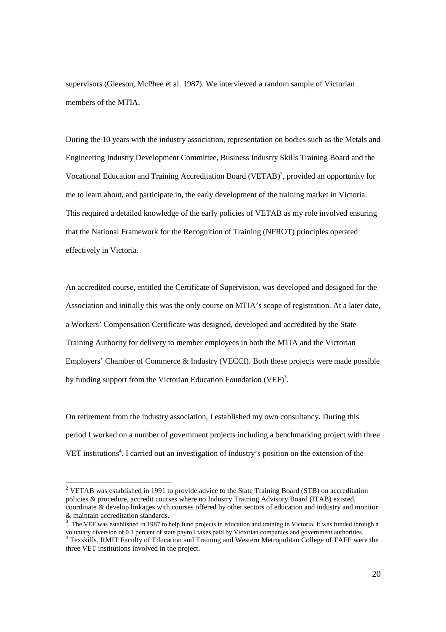supervisors (Gleeson, McPhee et al. 1987). We interviewed a random sample of Victorian members of the MTIA.

During the 10 years with the industry association, representation on bodies such as the Metals and Engineering Industry Development Committee, Business Industry Skills Training Board and the Vocational Education and Training Accreditation Board (VETAB)<sup>2</sup>, provided an opportunity for me to learn about, and participate in, the early development of the training market in Victoria. This required a detailed knowledge of the early policies of VETAB as my role involved ensuring that the National Framework for the Recognition of Training (NFROT) principles operated effectively in Victoria.

An accredited course, entitled the Certificate of Supervision, was developed and designed for the Association and initially this was the only course on MTIA's scope of registration. At a later date, a Workers' Compensation Certificate was designed, developed and accredited by the State Training Authority for delivery to member employees in both the MTIA and the Victorian Employers' Chamber of Commerce & Industry (VECCI). Both these projects were made possible by funding support from the Victorian Education Foundation (VEF)<sup>3</sup>.

On retirement from the industry association, I established my own consultancy. During this period I worked on a number of government projects including a benchmarking project with three VET institutions<sup>4</sup>. I carried out an investigation of industry's position on the extension of the

<sup>&</sup>lt;sup>2</sup> VETAB was established in 1991 to provide advice to the State Training Board (STB) on accreditation policies & procedure, accredit courses where no Industry Training Advisory Board (ITAB) existed, coordinate & develop linkages with courses offered by other sectors of education and industry and monitor & maintain accreditation standards.

 $3$  The VEF was established in 1987 to help fund projects in education and training in Victoria. It was funded through a voluntary diversion of 0.1 percent of state payroll taxes paid by Victorian companies and government authorities. 4 Texskills, RMIT Faculty of Education and Training and Western Metropolitan College of TAFE were the three VET institutions involved in the project.